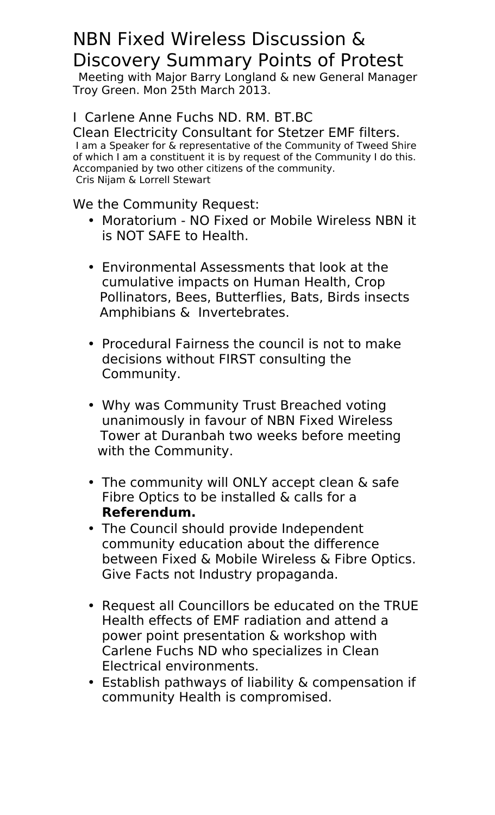## NBN Fixed Wireless Discussion & Discovery Summary Points of Protest

Meeting with Major Barry Longland & new General Manager Troy Green. Mon 25th March 2013.

## I Carlene Anne Fuchs ND. RM. BT.BC

Clean Electricity Consultant for Stetzer EMF filters. I am a Speaker for & representative of the Community of Tweed Shire of which I am a constituent it is by request of the Community I do this. Accompanied by two other citizens of the community. Cris Nijam & Lorrell Stewart

We the Community Request:

- Moratorium NO Fixed or Mobile Wireless NBN it is NOT SAFE to Health.
- Environmental Assessments that look at the cumulative impacts on Human Health, Crop Pollinators, Bees, Butterflies, Bats, Birds insects Amphibians & Invertebrates.
- Procedural Fairness the council is not to make decisions without FIRST consulting the Community.
- Why was Community Trust Breached voting unanimously in favour of NBN Fixed Wireless Tower at Duranbah two weeks before meeting with the Community.
- The community will ONLY accept clean & safe Fibre Optics to be installed & calls for a **Referendum.**
- The Council should provide Independent community education about the difference between Fixed & Mobile Wireless & Fibre Optics. Give Facts not Industry propaganda.
- Request all Councillors be educated on the TRUE Health effects of EMF radiation and attend a power point presentation & workshop with Carlene Fuchs ND who specializes in Clean Electrical environments.
- Establish pathways of liability & compensation if community Health is compromised.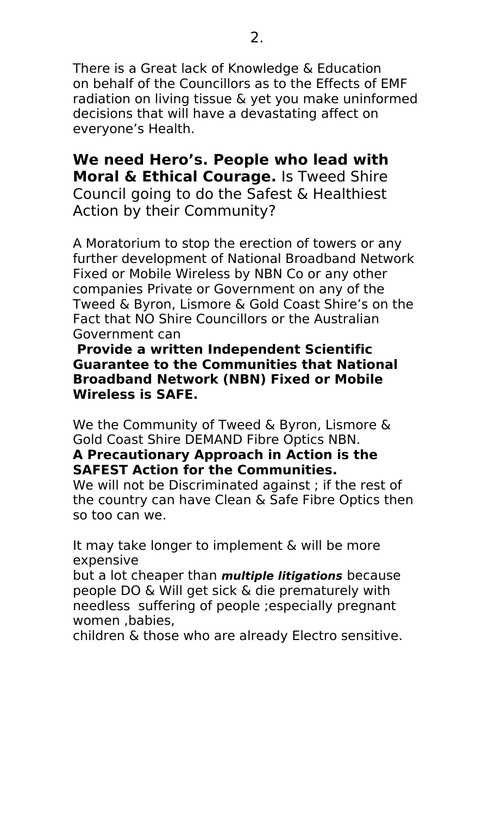There is a Great lack of Knowledge & Education on behalf of the Councillors as to the Effects of EMF radiation on living tissue & yet you make uninformed decisions that will have a devastating affect on everyone's Health.

**We need Hero's. People who lead with Moral & Ethical Courage.** Is Tweed Shire Council going to do the Safest & Healthiest Action by their Community?

A Moratorium to stop the erection of towers or any further development of National Broadband Network Fixed or Mobile Wireless by NBN Co or any other companies Private or Government on any of the Tweed & Byron, Lismore & Gold Coast Shire's on the Fact that NO Shire Councillors or the Australian Government can

**Provide a written Independent Scientific Guarantee to the Communities that National Broadband Network (NBN) Fixed or Mobile Wireless is SAFE.**

We the Community of Tweed & Byron, Lismore & Gold Coast Shire DEMAND Fibre Optics NBN.

## **A Precautionary Approach in Action is the SAFEST Action for the Communities.**

We will not be Discriminated against ; if the rest of the country can have Clean & Safe Fibre Optics then so too can we.

It may take longer to implement & will be more expensive

but a lot cheaper than **multiple litigations** because people DO & Will get sick & die prematurely with needless suffering of people ;especially pregnant women ,babies,

children & those who are already Electro sensitive.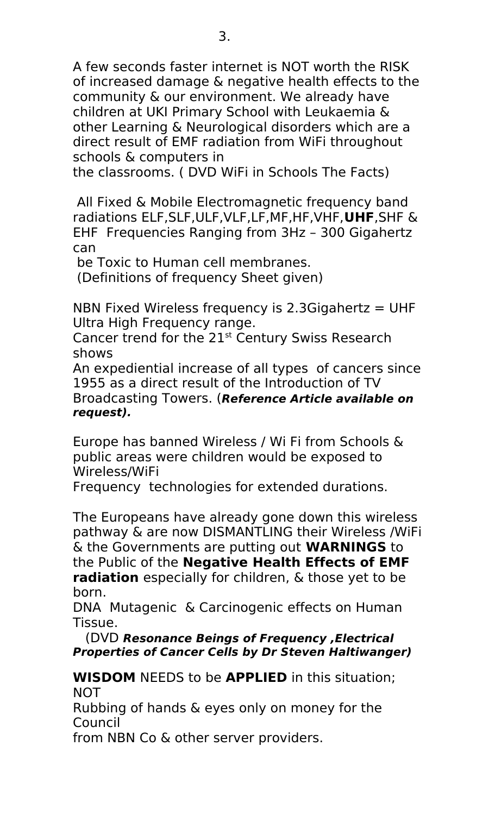A few seconds faster internet is NOT worth the RISK of increased damage & negative health effects to the community & our environment. We already have children at UKI Primary School with Leukaemia & other Learning & Neurological disorders which are a direct result of EMF radiation from WiFi throughout schools & computers in

the classrooms. ( DVD WiFi in Schools The Facts)

All Fixed & Mobile Electromagnetic frequency band radiations ELF,SLF,ULF,VLF,LF,MF,HF,VHF,**UHF**,SHF & EHF Frequencies Ranging from 3Hz – 300 Gigahertz can

be Toxic to Human cell membranes.

(Definitions of frequency Sheet given)

NBN Fixed Wireless frequency is 2.3 Gigahertz  $=$  UHF Ultra High Frequency range.

Cancer trend for the  $21<sup>st</sup>$  Century Swiss Research shows

An expediential increase of all types of cancers since 1955 as a direct result of the Introduction of TV Broadcasting Towers. (**Reference Article available on request).**

Europe has banned Wireless / Wi Fi from Schools & public areas were children would be exposed to Wireless/WiFi

Frequency technologies for extended durations.

The Europeans have already gone down this wireless pathway & are now DISMANTLING their Wireless /WiFi & the Governments are putting out **WARNINGS** to the Public of the **Negative Health Effects of EMF radiation** especially for children, & those yet to be born.

DNA Mutagenic & Carcinogenic effects on Human Tissue.

 (DVD **Resonance Beings of Frequency ,Electrical Properties of Cancer Cells by Dr Steven Haltiwanger)**

**WISDOM** NEEDS to be **APPLIED** in this situation; NOT

Rubbing of hands & eyes only on money for the Council

from NBN Co & other server providers.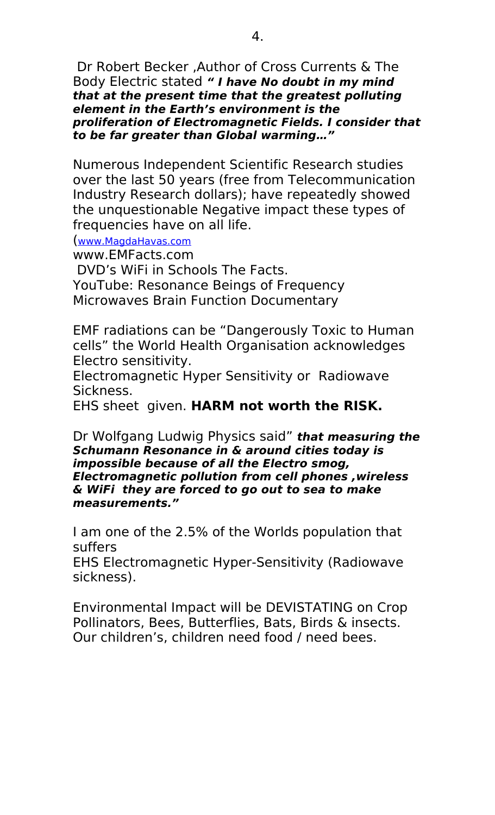Dr Robert Becker ,Author of Cross Currents & The Body Electric stated **" I have No doubt in my mind that at the present time that the greatest polluting element in the Earth's environment is the proliferation of Electromagnetic Fields. I consider that to be far greater than Global warming…"**

Numerous Independent Scientific Research studies over the last 50 years (free from Telecommunication Industry Research dollars); have repeatedly showed the unquestionable Negative impact these types of frequencies have on all life.

([www.MagdaHavas.com](http://www.MagdaHavas.com/)

www.EMFacts.com

DVD's WiFi in Schools The Facts. YouTube: Resonance Beings of Frequency Microwaves Brain Function Documentary

EMF radiations can be "Dangerously Toxic to Human cells" the World Health Organisation acknowledges Electro sensitivity.

Electromagnetic Hyper Sensitivity or Radiowave Sickness.

EHS sheet given. **HARM not worth the RISK.**

Dr Wolfgang Ludwig Physics said" **that measuring the Schumann Resonance in & around cities today is impossible because of all the Electro smog, Electromagnetic pollution from cell phones ,wireless & WiFi they are forced to go out to sea to make measurements."**

I am one of the 2.5% of the Worlds population that suffers

EHS Electromagnetic Hyper-Sensitivity (Radiowave sickness).

Environmental Impact will be DEVISTATING on Crop Pollinators, Bees, Butterflies, Bats, Birds & insects. Our children's, children need food / need bees.